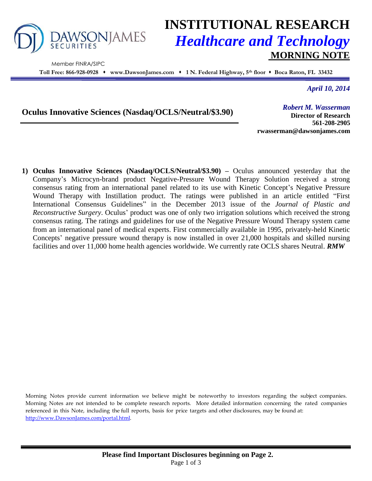

Member FINRA/SIPC

## **INSTITUTIONAL RESEARCH** *Healthcare and Technology* **MORNING NOTE**

**Toll Free: 866-928-0928 www.DawsonJames.com 1 N. Federal Highway, 5 th floor Boca Raton, FL 33432**

*April 10, 2014*

**Oculus Innovative Sciences (Nasdaq/OCLS/Neutral/\$3.90)**

*Robert M. Wasserman*

**Director of Research 561-208-2905 rwasserman@dawsonjames.com**

**1) Oculus Innovative Sciences (Nasdaq/OCLS/Neutral/\$3.90) –** Oculus announced yesterday that the Company's Microcyn-brand product Negative-Pressure Wound Therapy Solution received a strong consensus rating from an international panel related to its use with Kinetic Concept's Negative Pressure Wound Therapy with Instillation product. The ratings were published in an article entitled "First International Consensus Guidelines" in the December 2013 issue of the *Journal of Plastic and Reconstructive Surgery*. Oculus' product was one of only two irrigation solutions which received the strong consensus rating. The ratings and guidelines for use of the Negative Pressure Wound Therapy system came from an international panel of medical experts. First commercially available in 1995, privately-held Kinetic Concepts' negative pressure wound therapy is now installed in over 21,000 hospitals and skilled nursing facilities and over 11,000 home health agencies worldwide. We currently rate OCLS shares Neutral. *RMW*

Morning Notes provide current information we believe might be noteworthy to investors regarding the subject companies. Morning Notes are not intended to be complete research reports. More detailed information concerning the rated companies referenced in this Note, including the full reports, basis for price targets and other disclosures, may be found at: [http://www.DawsonJames.com/portal.html.](http://www.dawsonjames.com/portal.html)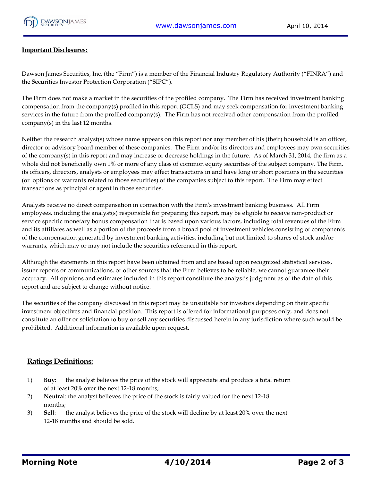

## **Important Disclosures:**

Dawson James Securities, Inc. (the "Firm") is a member of the Financial Industry Regulatory Authority ("FINRA") and the Securities Investor Protection Corporation ("SIPC").

The Firm does not make a market in the securities of the profiled company. The Firm has received investment banking compensation from the company(s) profiled in this report (OCLS) and may seek compensation for investment banking services in the future from the profiled company(s). The Firm has not received other compensation from the profiled company(s) in the last 12 months.

Neither the research analyst(s) whose name appears on this report nor any member of his (their) household is an officer, director or advisory board member of these companies. The Firm and/or its directors and employees may own securities of the company(s) in this report and may increase or decrease holdings in the future. As of March 31, 2014, the firm as a whole did not beneficially own 1% or more of any class of common equity securities of the subject company. The Firm, its officers, directors, analysts or employees may effect transactions in and have long or short positions in the securities (or options or warrants related to those securities) of the companies subject to this report. The Firm may effect transactions as principal or agent in those securities.

Analysts receive no direct compensation in connection with the Firm's investment banking business. All Firm employees, including the analyst(s) responsible for preparing this report, may be eligible to receive non-product or service specific monetary bonus compensation that is based upon various factors, including total revenues of the Firm and its affiliates as well as a portion of the proceeds from a broad pool of investment vehicles consisting of components of the compensation generated by investment banking activities, including but not limited to shares of stock and/or warrants, which may or may not include the securities referenced in this report.

Although the statements in this report have been obtained from and are based upon recognized statistical services, issuer reports or communications, or other sources that the Firm believes to be reliable, we cannot guarantee their accuracy. All opinions and estimates included in this report constitute the analyst's judgment as of the date of this report and are subject to change without notice.

The securities of the company discussed in this report may be unsuitable for investors depending on their specific investment objectives and financial position. This report is offered for informational purposes only, and does not constitute an offer or solicitation to buy or sell any securities discussed herein in any jurisdiction where such would be prohibited. Additional information is available upon request.

## **Ratings Definitions:**

- 1) **Buy**: the analyst believes the price of the stock will appreciate and produce a total return of at least 20% over the next 12-18 months;
- 2) **Neutra**l: the analyst believes the price of the stock is fairly valued for the next 12-18 months;
- 3) **Sel**l: the analyst believes the price of the stock will decline by at least 20% over the next 12-18 months and should be sold.